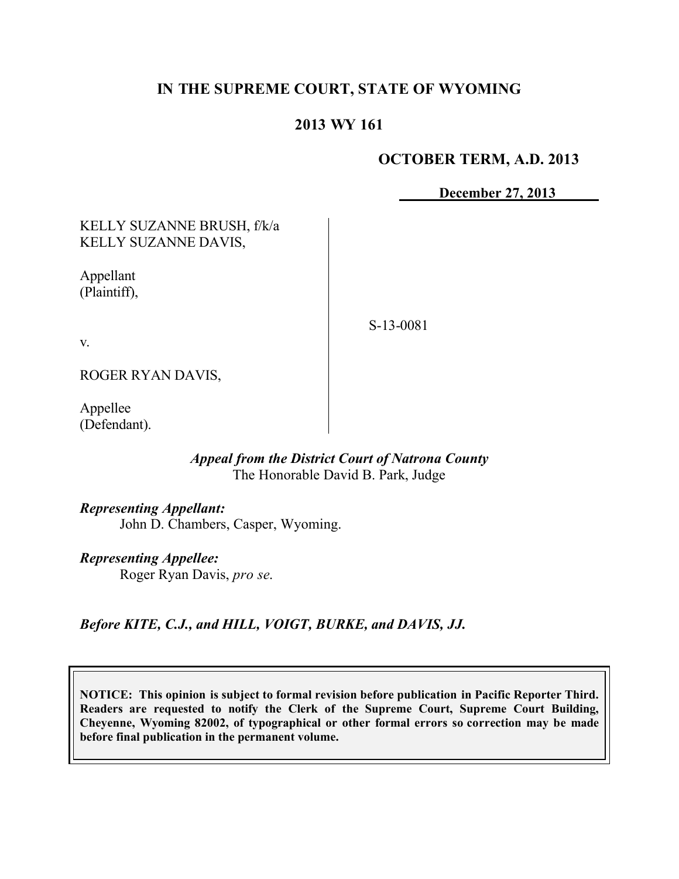## **IN THE SUPREME COURT, STATE OF WYOMING**

## **2013 WY 161**

### **OCTOBER TERM, A.D. 2013**

**December 27, 2013**

KELLY SUZANNE BRUSH, f/k/a KELLY SUZANNE DAVIS,

Appellant (Plaintiff),

S-13-0081

v.

ROGER RYAN DAVIS,

Appellee (Defendant).

#### *Appeal from the District Court of Natrona County* The Honorable David B. Park, Judge

*Representing Appellant:* John D. Chambers, Casper, Wyoming.

*Representing Appellee:*

Roger Ryan Davis, *pro se*.

*Before KITE, C.J., and HILL, VOIGT, BURKE, and DAVIS, JJ.*

**NOTICE: This opinion is subject to formal revision before publication in Pacific Reporter Third. Readers are requested to notify the Clerk of the Supreme Court, Supreme Court Building, Cheyenne, Wyoming 82002, of typographical or other formal errors so correction may be made before final publication in the permanent volume.**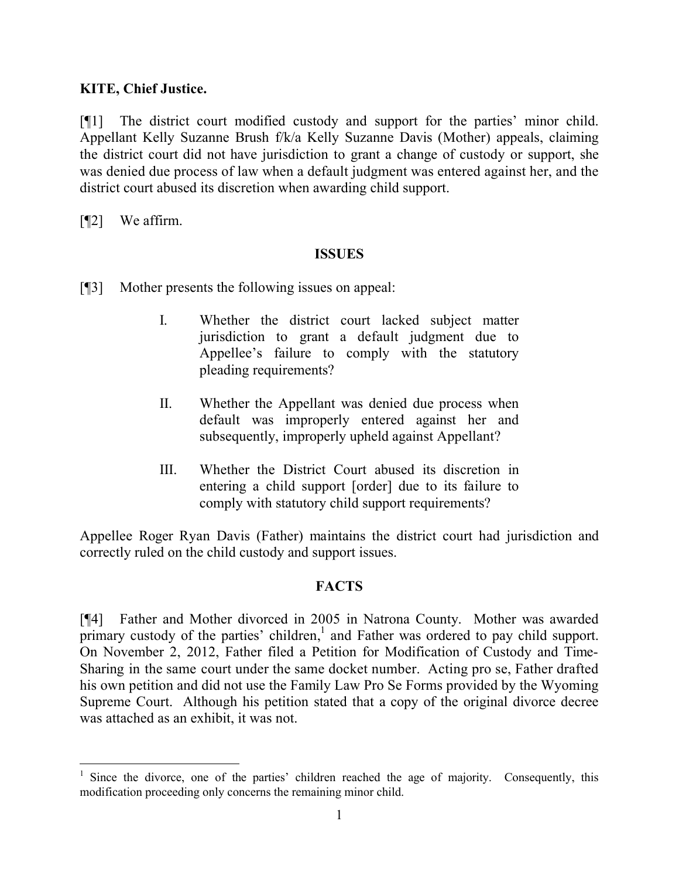## **KITE, Chief Justice.**

[¶1] The district court modified custody and support for the parties' minor child. Appellant Kelly Suzanne Brush f/k/a Kelly Suzanne Davis (Mother) appeals, claiming the district court did not have jurisdiction to grant a change of custody or support, she was denied due process of law when a default judgment was entered against her, and the district court abused its discretion when awarding child support.

[¶2] We affirm.

#### **ISSUES**

- [¶3] Mother presents the following issues on appeal:
	- I. Whether the district court lacked subject matter jurisdiction to grant a default judgment due to Appellee's failure to comply with the statutory pleading requirements?
	- II. Whether the Appellant was denied due process when default was improperly entered against her and subsequently, improperly upheld against Appellant?
	- III. Whether the District Court abused its discretion in entering a child support [order] due to its failure to comply with statutory child support requirements?

Appellee Roger Ryan Davis (Father) maintains the district court had jurisdiction and correctly ruled on the child custody and support issues.

#### **FACTS**

[¶4] Father and Mother divorced in 2005 in Natrona County. Mother was awarded  $\frac{1}{2}$  primary custody of the parties' children,<sup>1</sup> and Father was ordered to pay child support. On November 2, 2012, Father filed a Petition for Modification of Custody and Time-Sharing in the same court under the same docket number. Acting pro se, Father drafted his own petition and did not use the Family Law Pro Se Forms provided by the Wyoming Supreme Court. Although his petition stated that a copy of the original divorce decree was attached as an exhibit, it was not.

<sup>1</sup> Since the divorce, one of the parties' children reached the age of majority. Consequently, this modification proceeding only concerns the remaining minor child.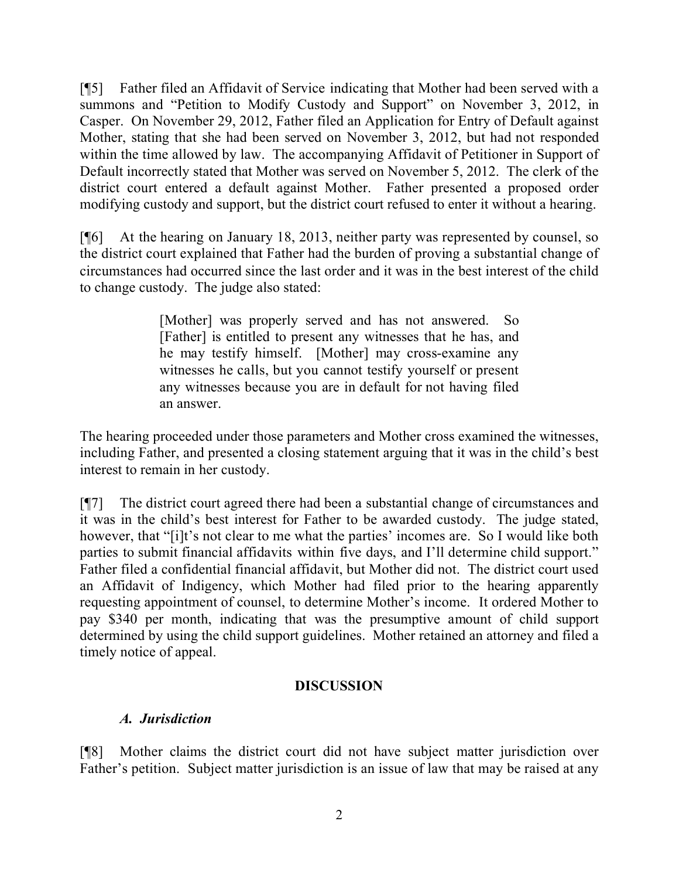[¶5] Father filed an Affidavit of Service indicating that Mother had been served with a summons and "Petition to Modify Custody and Support" on November 3, 2012, in Casper. On November 29, 2012, Father filed an Application for Entry of Default against Mother, stating that she had been served on November 3, 2012, but had not responded within the time allowed by law. The accompanying Affidavit of Petitioner in Support of Default incorrectly stated that Mother was served on November 5, 2012. The clerk of the district court entered a default against Mother. Father presented a proposed order modifying custody and support, but the district court refused to enter it without a hearing.

[¶6] At the hearing on January 18, 2013, neither party was represented by counsel, so the district court explained that Father had the burden of proving a substantial change of circumstances had occurred since the last order and it was in the best interest of the child to change custody. The judge also stated:

> [Mother] was properly served and has not answered. So [Father] is entitled to present any witnesses that he has, and he may testify himself. [Mother] may cross-examine any witnesses he calls, but you cannot testify yourself or present any witnesses because you are in default for not having filed an answer.

The hearing proceeded under those parameters and Mother cross examined the witnesses, including Father, and presented a closing statement arguing that it was in the child's best interest to remain in her custody.

[¶7] The district court agreed there had been a substantial change of circumstances and it was in the child's best interest for Father to be awarded custody. The judge stated, however, that "[i]t's not clear to me what the parties' incomes are. So I would like both parties to submit financial affidavits within five days, and I'll determine child support." Father filed a confidential financial affidavit, but Mother did not. The district court used an Affidavit of Indigency, which Mother had filed prior to the hearing apparently requesting appointment of counsel, to determine Mother's income. It ordered Mother to pay \$340 per month, indicating that was the presumptive amount of child support determined by using the child support guidelines. Mother retained an attorney and filed a timely notice of appeal.

## **DISCUSSION**

# *A. Jurisdiction*

[¶8] Mother claims the district court did not have subject matter jurisdiction over Father's petition. Subject matter jurisdiction is an issue of law that may be raised at any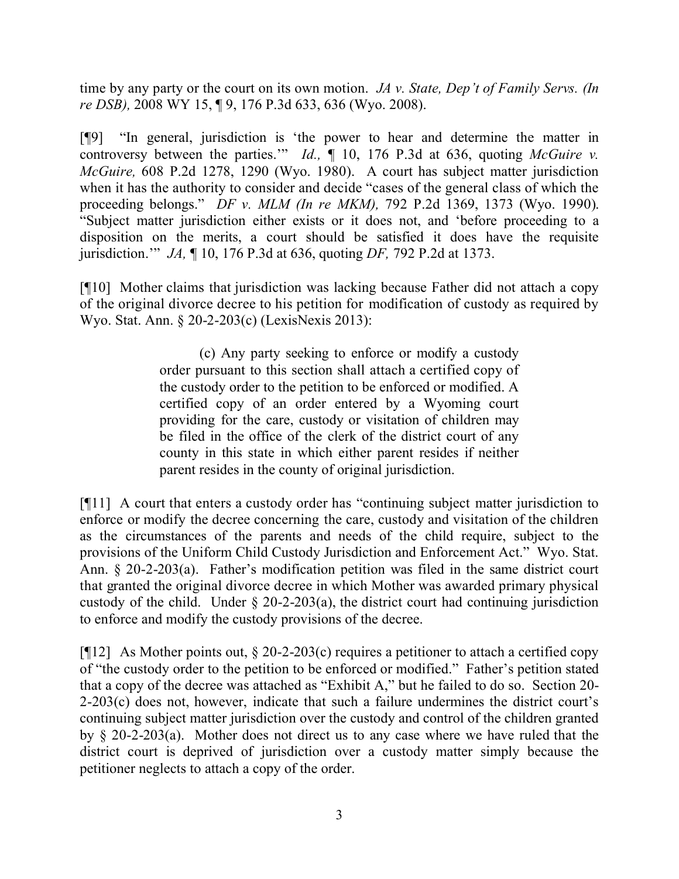time by any party or the court on its own motion. *JA v. State, Dep't of Family Servs. (In re DSB),* 2008 WY 15, ¶ 9, 176 P.3d 633, 636 (Wyo. 2008).

[¶9] "In general, jurisdiction is 'the power to hear and determine the matter in controversy between the parties.'" *Id.,* ¶ 10, 176 P.3d at 636, quoting *McGuire v. McGuire,* 608 P.2d 1278, 1290 (Wyo. 1980). A court has subject matter jurisdiction when it has the authority to consider and decide "cases of the general class of which the proceeding belongs." *DF v. MLM (In re MKM),* 792 P.2d 1369, 1373 (Wyo. 1990). "Subject matter jurisdiction either exists or it does not, and 'before proceeding to a disposition on the merits, a court should be satisfied it does have the requisite jurisdiction.'" *JA,* ¶ 10, 176 P.3d at 636, quoting *DF,* 792 P.2d at 1373.

[¶10] Mother claims that jurisdiction was lacking because Father did not attach a copy of the original divorce decree to his petition for modification of custody as required by Wyo. Stat. Ann. § 20-2-203(c) (LexisNexis 2013):

> (c) Any party seeking to enforce or modify a custody order pursuant to this section shall attach a certified copy of the custody order to the petition to be enforced or modified. A certified copy of an order entered by a Wyoming court providing for the care, custody or visitation of children may be filed in the office of the clerk of the district court of any county in this state in which either parent resides if neither parent resides in the county of original jurisdiction.

[¶11] A court that enters a custody order has "continuing subject matter jurisdiction to enforce or modify the decree concerning the care, custody and visitation of the children as the circumstances of the parents and needs of the child require, subject to the provisions of the Uniform Child Custody Jurisdiction and Enforcement Act." Wyo. Stat. Ann. § 20-2-203(a). Father's modification petition was filed in the same district court that granted the original divorce decree in which Mother was awarded primary physical custody of the child. Under  $\S$  20-2-203(a), the district court had continuing jurisdiction to enforce and modify the custody provisions of the decree.

[ $[12]$  As Mother points out,  $\S 20$ -2-203(c) requires a petitioner to attach a certified copy of "the custody order to the petition to be enforced or modified." Father's petition stated that a copy of the decree was attached as "Exhibit A," but he failed to do so. Section 20- 2-203(c) does not, however, indicate that such a failure undermines the district court's continuing subject matter jurisdiction over the custody and control of the children granted by § 20-2-203(a). Mother does not direct us to any case where we have ruled that the district court is deprived of jurisdiction over a custody matter simply because the petitioner neglects to attach a copy of the order.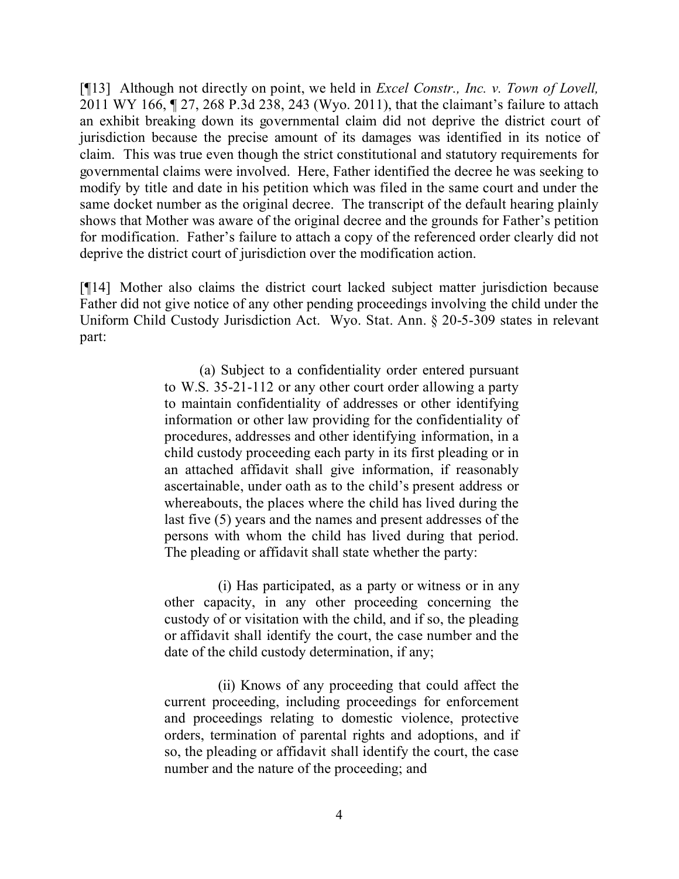[¶13] Although not directly on point, we held in *Excel Constr., Inc. v. Town of Lovell,*  2011 WY 166, ¶ 27, 268 P.3d 238, 243 (Wyo. 2011), that the claimant's failure to attach an exhibit breaking down its governmental claim did not deprive the district court of jurisdiction because the precise amount of its damages was identified in its notice of claim. This was true even though the strict constitutional and statutory requirements for governmental claims were involved. Here, Father identified the decree he was seeking to modify by title and date in his petition which was filed in the same court and under the same docket number as the original decree. The transcript of the default hearing plainly shows that Mother was aware of the original decree and the grounds for Father's petition for modification. Father's failure to attach a copy of the referenced order clearly did not deprive the district court of jurisdiction over the modification action.

[¶14] Mother also claims the district court lacked subject matter jurisdiction because Father did not give notice of any other pending proceedings involving the child under the Uniform Child Custody Jurisdiction Act. Wyo. Stat. Ann. § 20-5-309 states in relevant part:

> (a) Subject to a confidentiality order entered pursuant to W.S. 35-21-112 or any other court order allowing a party to maintain confidentiality of addresses or other identifying information or other law providing for the confidentiality of procedures, addresses and other identifying information, in a child custody proceeding each party in its first pleading or in an attached affidavit shall give information, if reasonably ascertainable, under oath as to the child's present address or whereabouts, the places where the child has lived during the last five (5) years and the names and present addresses of the persons with whom the child has lived during that period. The pleading or affidavit shall state whether the party:

> (i) Has participated, as a party or witness or in any other capacity, in any other proceeding concerning the custody of or visitation with the child, and if so, the pleading or affidavit shall identify the court, the case number and the date of the child custody determination, if any;

> (ii) Knows of any proceeding that could affect the current proceeding, including proceedings for enforcement and proceedings relating to domestic violence, protective orders, termination of parental rights and adoptions, and if so, the pleading or affidavit shall identify the court, the case number and the nature of the proceeding; and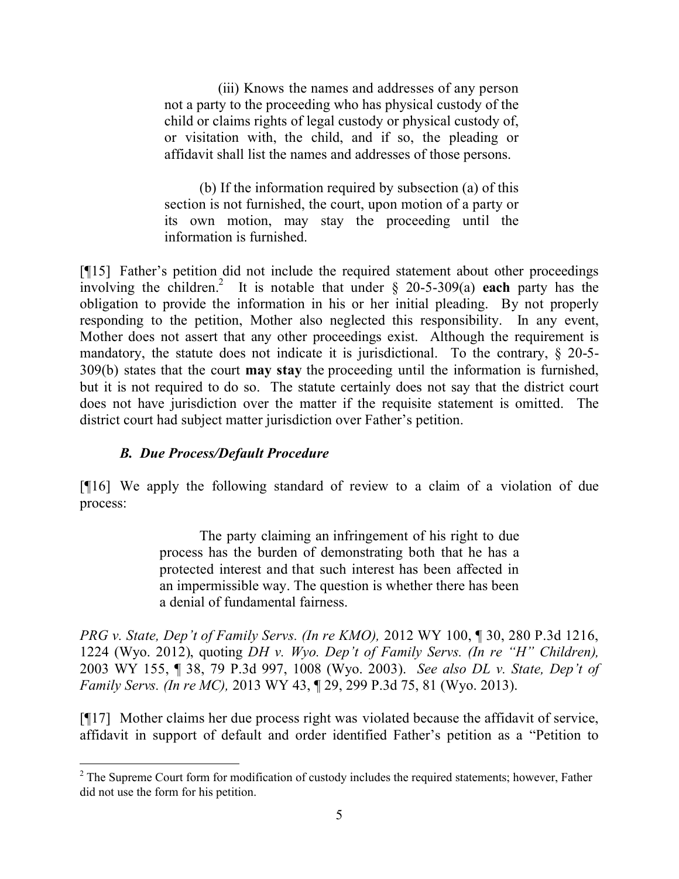(iii) Knows the names and addresses of any person not a party to the proceeding who has physical custody of the child or claims rights of legal custody or physical custody of, or visitation with, the child, and if so, the pleading or affidavit shall list the names and addresses of those persons.

(b) If the information required by subsection (a) of this section is not furnished, the court, upon motion of a party or its own motion, may stay the proceeding until the information is furnished.

[¶15] Father's petition did not include the required statement about other proceedings involving the children.<sup>2</sup> It is notable that under § 20-5-309(a) each party has the obligation to provide the information in his or her initial pleading. By not properly responding to the petition, Mother also neglected this responsibility. In any event, Mother does not assert that any other proceedings exist. Although the requirement is mandatory, the statute does not indicate it is jurisdictional. To the contrary, § 20-5- 309(b) states that the court **may stay** the proceeding until the information is furnished, but it is not required to do so. The statute certainly does not say that the district court does not have jurisdiction over the matter if the requisite statement is omitted. The district court had subject matter jurisdiction over Father's petition.

# *B. Due Process/Default Procedure*

[¶16] We apply the following standard of review to a claim of a violation of due process:

> The party claiming an infringement of his right to due process has the burden of demonstrating both that he has a protected interest and that such interest has been affected in an impermissible way. The question is whether there has been a denial of fundamental fairness.

*PRG v. State, Dep't of Family Servs. (In re KMO),* 2012 WY 100, ¶ 30, 280 P.3d 1216, 1224 (Wyo. 2012), quoting *DH v. Wyo. Dep't of Family Servs. (In re "H" Children),* 2003 WY 155, ¶ 38, 79 P.3d 997, 1008 (Wyo. 2003). *See also DL v. State, Dep't of Family Servs. (In re MC),* 2013 WY 43, ¶ 29, 299 P.3d 75, 81 (Wyo. 2013).

[¶17] Mother claims her due process right was violated because the affidavit of service, affidavit in support of default and order identified Father's petition as a "Petition to

<sup>&</sup>lt;sup>2</sup> The Supreme Court form for modification of custody includes the required statements; however, Father did not use the form for his petition.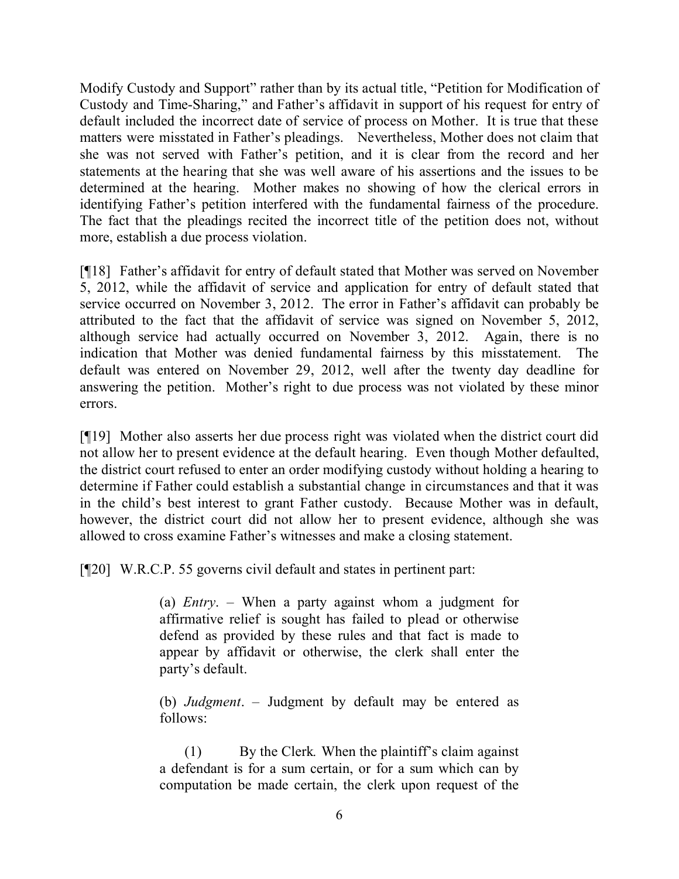Modify Custody and Support" rather than by its actual title, "Petition for Modification of Custody and Time-Sharing," and Father's affidavit in support of his request for entry of default included the incorrect date of service of process on Mother. It is true that these matters were misstated in Father's pleadings. Nevertheless, Mother does not claim that she was not served with Father's petition, and it is clear from the record and her statements at the hearing that she was well aware of his assertions and the issues to be determined at the hearing. Mother makes no showing of how the clerical errors in identifying Father's petition interfered with the fundamental fairness of the procedure. The fact that the pleadings recited the incorrect title of the petition does not, without more, establish a due process violation.

[¶18] Father's affidavit for entry of default stated that Mother was served on November 5, 2012, while the affidavit of service and application for entry of default stated that service occurred on November 3, 2012. The error in Father's affidavit can probably be attributed to the fact that the affidavit of service was signed on November 5, 2012, although service had actually occurred on November 3, 2012. Again, there is no indication that Mother was denied fundamental fairness by this misstatement. The default was entered on November 29, 2012, well after the twenty day deadline for answering the petition. Mother's right to due process was not violated by these minor errors.

[¶19] Mother also asserts her due process right was violated when the district court did not allow her to present evidence at the default hearing. Even though Mother defaulted, the district court refused to enter an order modifying custody without holding a hearing to determine if Father could establish a substantial change in circumstances and that it was in the child's best interest to grant Father custody. Because Mother was in default, however, the district court did not allow her to present evidence, although she was allowed to cross examine Father's witnesses and make a closing statement.

[¶20] W.R.C.P. 55 governs civil default and states in pertinent part:

(a) *Entry*. – When a party against whom a judgment for affirmative relief is sought has failed to plead or otherwise defend as provided by these rules and that fact is made to appear by affidavit or otherwise, the clerk shall enter the party's default.

(b) *Judgment*. – Judgment by default may be entered as follows:

(1) By the Clerk*.* When the plaintiff's claim against a defendant is for a sum certain, or for a sum which can by computation be made certain, the clerk upon request of the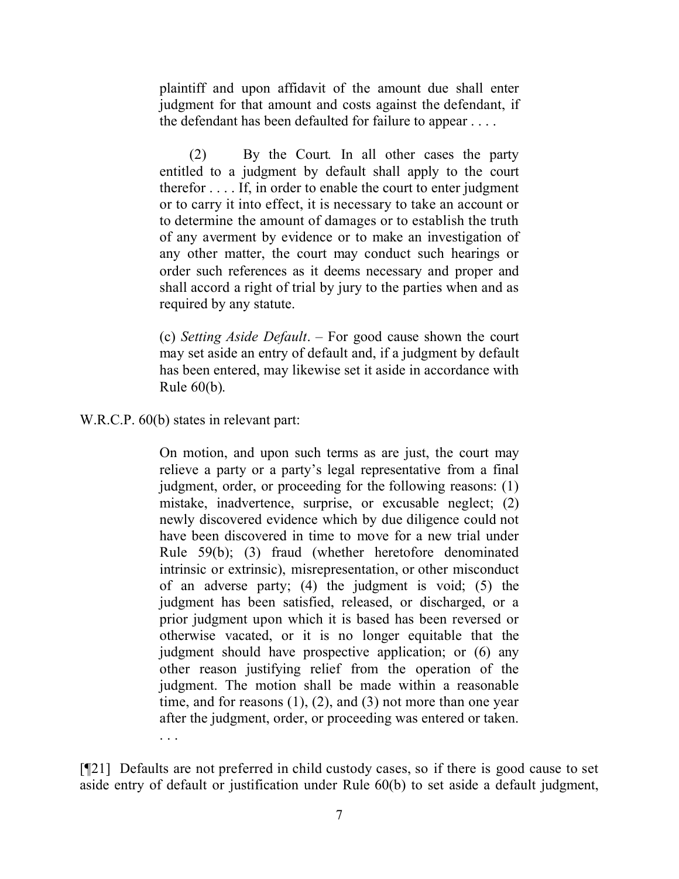plaintiff and upon affidavit of the amount due shall enter judgment for that amount and costs against the defendant, if the defendant has been defaulted for failure to appear . . . .

(2) By the Court*.* In all other cases the party entitled to a judgment by default shall apply to the court therefor . . . . If, in order to enable the court to enter judgment or to carry it into effect, it is necessary to take an account or to determine the amount of damages or to establish the truth of any averment by evidence or to make an investigation of any other matter, the court may conduct such hearings or order such references as it deems necessary and proper and shall accord a right of trial by jury to the parties when and as required by any statute.

(c) *Setting Aside Default*. – For good cause shown the court may set aside an entry of default and, if a judgment by default has been entered, may likewise set it aside in accordance with Rule 60(b).

#### W.R.C.P. 60(b) states in relevant part:

. . .

On motion, and upon such terms as are just, the court may relieve a party or a party's legal representative from a final judgment, order, or proceeding for the following reasons: (1) mistake, inadvertence, surprise, or excusable neglect; (2) newly discovered evidence which by due diligence could not have been discovered in time to move for a new trial under Rule 59(b); (3) fraud (whether heretofore denominated intrinsic or extrinsic), misrepresentation, or other misconduct of an adverse party; (4) the judgment is void; (5) the judgment has been satisfied, released, or discharged, or a prior judgment upon which it is based has been reversed or otherwise vacated, or it is no longer equitable that the judgment should have prospective application; or (6) any other reason justifying relief from the operation of the judgment. The motion shall be made within a reasonable time, and for reasons  $(1)$ ,  $(2)$ , and  $(3)$  not more than one year after the judgment, order, or proceeding was entered or taken.

[¶21] Defaults are not preferred in child custody cases, so if there is good cause to set aside entry of default or justification under Rule 60(b) to set aside a default judgment,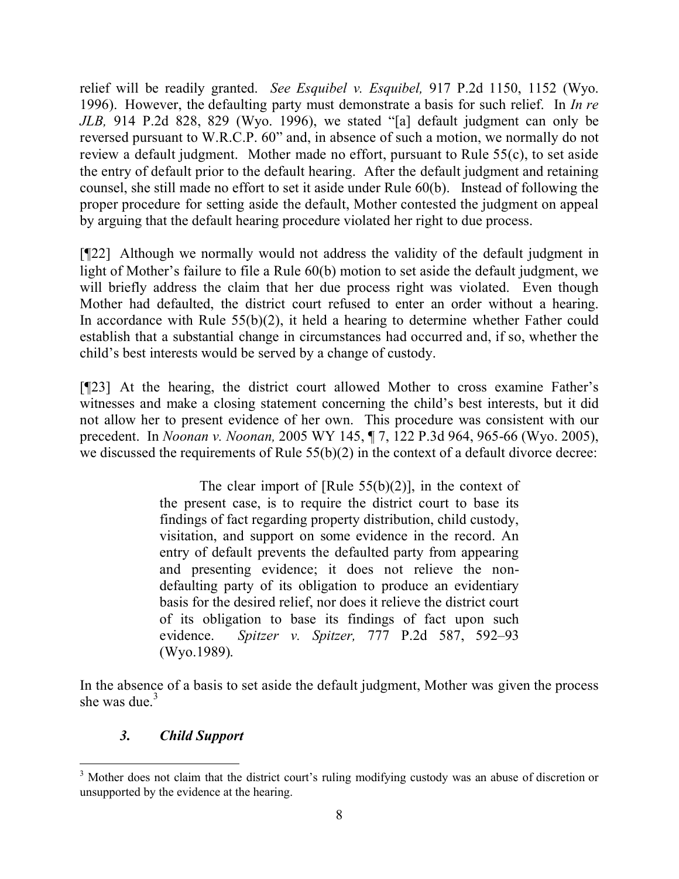relief will be readily granted. *See Esquibel v. Esquibel,* 917 P.2d 1150, 1152 (Wyo. 1996). However, the defaulting party must demonstrate a basis for such relief. In *In re JLB,* 914 P.2d 828, 829 (Wyo. 1996), we stated "[a] default judgment can only be reversed pursuant to W.R.C.P. 60" and, in absence of such a motion, we normally do not review a default judgment.Mother made no effort, pursuant to Rule 55(c), to set aside the entry of default prior to the default hearing. After the default judgment and retaining counsel, she still made no effort to set it aside under Rule 60(b). Instead of following the proper procedure for setting aside the default, Mother contested the judgment on appeal by arguing that the default hearing procedure violated her right to due process.

[¶22] Although we normally would not address the validity of the default judgment in light of Mother's failure to file a Rule 60(b) motion to set aside the default judgment, we will briefly address the claim that her due process right was violated. Even though Mother had defaulted, the district court refused to enter an order without a hearing. In accordance with Rule  $55(b)(2)$ , it held a hearing to determine whether Father could establish that a substantial change in circumstances had occurred and, if so, whether the child's best interests would be served by a change of custody.

[¶23] At the hearing, the district court allowed Mother to cross examine Father's witnesses and make a closing statement concerning the child's best interests, but it did not allow her to present evidence of her own. This procedure was consistent with our precedent. In *Noonan v. Noonan,* 2005 WY 145, ¶ 7, 122 P.3d 964, 965-66 (Wyo. 2005), we discussed the requirements of Rule 55(b)(2) in the context of a default divorce decree:

> The clear import of  $[Rule 55(b)(2)]$ , in the context of the present case, is to require the district court to base its findings of fact regarding property distribution, child custody, visitation, and support on some evidence in the record. An entry of default prevents the defaulted party from appearing and presenting evidence; it does not relieve the nondefaulting party of its obligation to produce an evidentiary basis for the desired relief, nor does it relieve the district court of its obligation to base its findings of fact upon such evidence. *Spitzer v. Spitzer,* 777 P.2d 587, 592–93 (Wyo.1989).

In the absence of a basis to set aside the default judgment, Mother was given the process she was due. $3$ 

## *3. Child Support*

 <sup>3</sup> Mother does not claim that the district court's ruling modifying custody was an abuse of discretion or unsupported by the evidence at the hearing.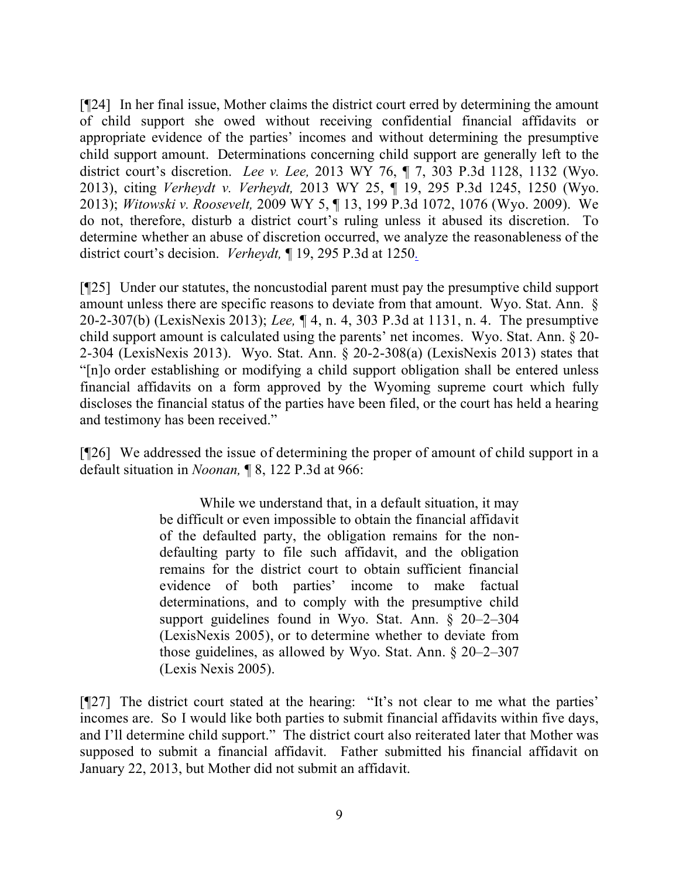[¶24] In her final issue, Mother claims the district court erred by determining the amount of child support she owed without receiving confidential financial affidavits or appropriate evidence of the parties' incomes and without determining the presumptive child support amount. Determinations concerning child support are generally left to the district court's discretion. *Lee v. Lee,* 2013 WY 76, ¶ 7, 303 P.3d 1128, 1132 (Wyo. 2013), citing *Verheydt v. Verheydt,* 2013 WY 25, ¶ 19, 295 P.3d 1245, 1250 (Wyo. 2013); *Witowski v. Roosevelt,* 2009 WY 5, ¶ 13, 199 P.3d 1072, 1076 (Wyo. 2009). We do not, therefore, disturb a district court's ruling unless it abused its discretion. To determine whether an abuse of discretion occurred, we analyze the reasonableness of the district court's decision. *Verheydt,* ¶ 19, 295 P.3d at 1250*.* 

[¶25] Under our statutes, the noncustodial parent must pay the presumptive child support amount unless there are specific reasons to deviate from that amount. Wyo. Stat. Ann. § 20-2-307(b) (LexisNexis 2013); *Lee,* ¶ 4, n. 4, 303 P.3d at 1131, n. 4. The presumptive child support amount is calculated using the parents' net incomes. Wyo. Stat. Ann. § 20- 2-304 (LexisNexis 2013). Wyo. Stat. Ann. § 20-2-308(a) (LexisNexis 2013) states that "[n]o order establishing or modifying a child support obligation shall be entered unless financial affidavits on a form approved by the Wyoming supreme court which fully discloses the financial status of the parties have been filed, or the court has held a hearing and testimony has been received."

[¶26] We addressed the issue of determining the proper of amount of child support in a default situation in *Noonan,* ¶ 8, 122 P.3d at 966:

> While we understand that, in a default situation, it may be difficult or even impossible to obtain the financial affidavit of the defaulted party, the obligation remains for the nondefaulting party to file such affidavit, and the obligation remains for the district court to obtain sufficient financial evidence of both parties' income to make factual determinations, and to comply with the presumptive child support guidelines found in Wyo. Stat. Ann. § 20–2–304 (LexisNexis 2005), or to determine whether to deviate from those guidelines, as allowed by Wyo. Stat. Ann. § 20–2–307 (Lexis Nexis 2005).

[¶27] The district court stated at the hearing: "It's not clear to me what the parties' incomes are. So I would like both parties to submit financial affidavits within five days, and I'll determine child support." The district court also reiterated later that Mother was supposed to submit a financial affidavit. Father submitted his financial affidavit on January 22, 2013, but Mother did not submit an affidavit.